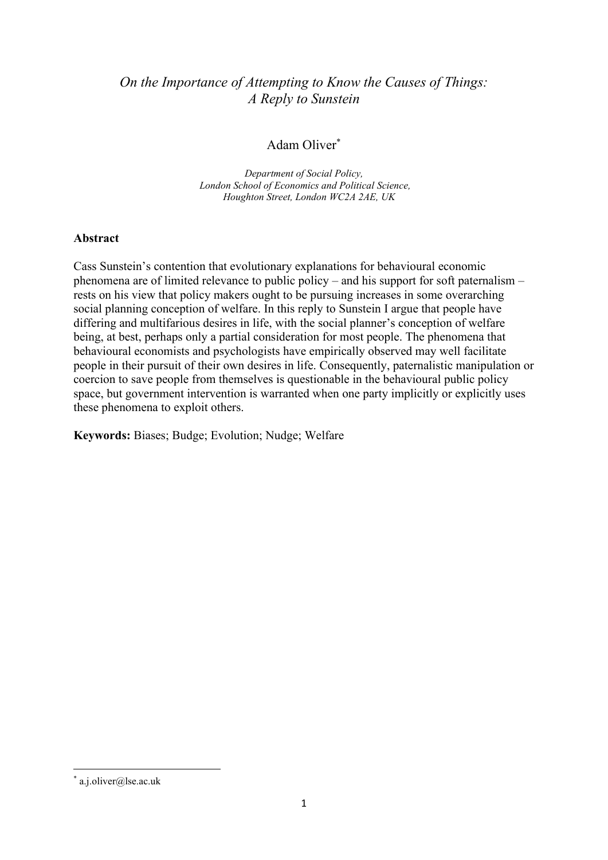# *On the Importance of Attempting to Know the Causes of Things: A Reply to Sunstein*

## Adam Oliver\*

*Department of Social Policy, London School of Economics and Political Science, Houghton Street, London WC2A 2AE, UK*

#### **Abstract**

Cass Sunstein's contention that evolutionary explanations for behavioural economic phenomena are of limited relevance to public policy – and his support for soft paternalism – rests on his view that policy makers ought to be pursuing increases in some overarching social planning conception of welfare. In this reply to Sunstein I argue that people have differing and multifarious desires in life, with the social planner's conception of welfare being, at best, perhaps only a partial consideration for most people. The phenomena that behavioural economists and psychologists have empirically observed may well facilitate people in their pursuit of their own desires in life. Consequently, paternalistic manipulation or coercion to save people from themselves is questionable in the behavioural public policy space, but government intervention is warranted when one party implicitly or explicitly uses these phenomena to exploit others.

**Keywords:** Biases; Budge; Evolution; Nudge; Welfare

<sup>\*</sup> a.j.oliver@lse.ac.uk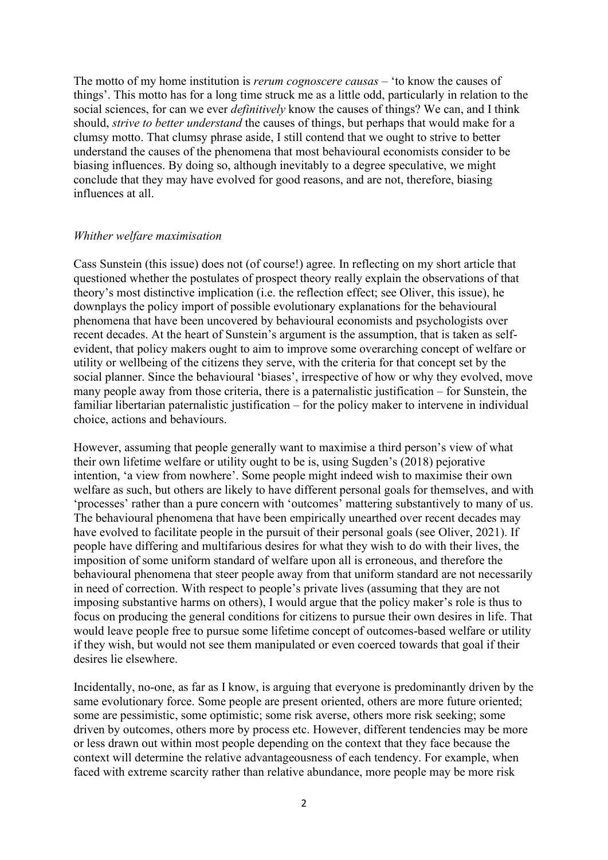The motto of my home institution is *rerum cognoscere causas* – 'to know the causes of things'. This motto has for a long time struck me as a little odd, particularly in relation to the social sciences, for can we ever *definitively* know the causes of things? We can, and I think should, *strive to better understand* the causes of things, but perhaps that would make for a clumsy motto. That clumsy phrase aside, I still contend that we ought to strive to better understand the causes of the phenomena that most behavioural economists consider to be biasing influences. By doing so, although inevitably to a degree speculative, we might conclude that they may have evolved for good reasons, and are not, therefore, biasing influences at all.

#### *Whither welfare maximisation*

Cass Sunstein (this issue) does not (of course!) agree. In reflecting on my short article that questioned whether the postulates of prospect theory really explain the observations of that theory's most distinctive implication (i.e. the reflection effect; see Oliver, this issue), he downplays the policy import of possible evolutionary explanations for the behavioural phenomena that have been uncovered by behavioural economists and psychologists over recent decades. At the heart of Sunstein's argument is the assumption, that is taken as selfevident, that policy makers ought to aim to improve some overarching concept of welfare or utility or wellbeing of the citizens they serve, with the criteria for that concept set by the social planner. Since the behavioural 'biases', irrespective of how or why they evolved, move many people away from those criteria, there is a paternalistic justification – for Sunstein, the familiar libertarian paternalistic justification – for the policy maker to intervene in individual choice, actions and behaviours.

However, assuming that people generally want to maximise a third person's view of what their own lifetime welfare or utility ought to be is, using Sugden's (2018) pejorative intention, 'a view from nowhere'. Some people might indeed wish to maximise their own welfare as such, but others are likely to have different personal goals for themselves, and with 'processes' rather than a pure concern with 'outcomes' mattering substantively to many of us. The behavioural phenomena that have been empirically unearthed over recent decades may have evolved to facilitate people in the pursuit of their personal goals (see Oliver, 2021). If people have differing and multifarious desires for what they wish to do with their lives, the imposition of some uniform standard of welfare upon all is erroneous, and therefore the behavioural phenomena that steer people away from that uniform standard are not necessarily in need of correction. With respect to people's private lives (assuming that they are not imposing substantive harms on others), I would argue that the policy maker's role is thus to focus on producing the general conditions for citizens to pursue their own desires in life. That would leave people free to pursue some lifetime concept of outcomes-based welfare or utility if they wish, but would not see them manipulated or even coerced towards that goal if their desires lie elsewhere.

Incidentally, no-one, as far as I know, is arguing that everyone is predominantly driven by the same evolutionary force. Some people are present oriented, others are more future oriented; some are pessimistic, some optimistic; some risk averse, others more risk seeking; some driven by outcomes, others more by process etc. However, different tendencies may be more or less drawn out within most people depending on the context that they face because the context will determine the relative advantageousness of each tendency. For example, when faced with extreme scarcity rather than relative abundance, more people may be more risk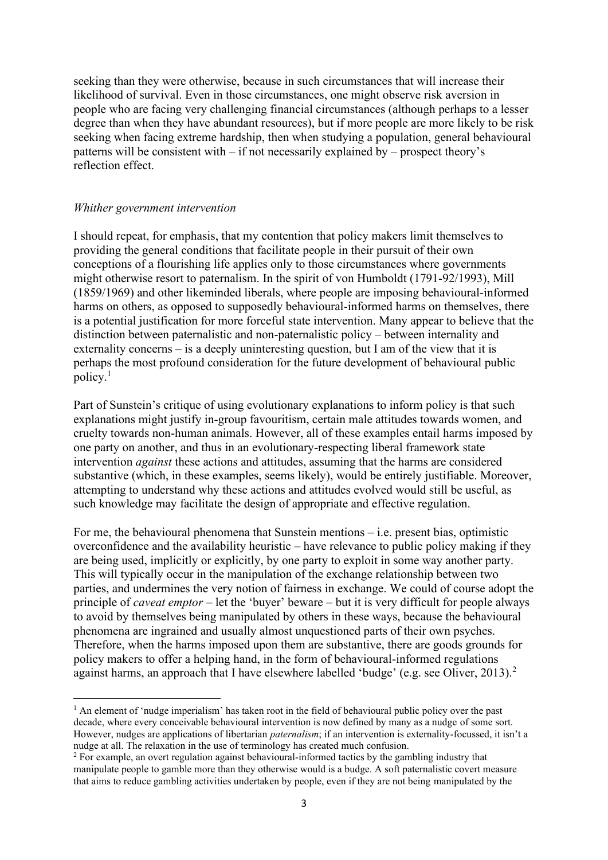seeking than they were otherwise, because in such circumstances that will increase their likelihood of survival. Even in those circumstances, one might observe risk aversion in people who are facing very challenging financial circumstances (although perhaps to a lesser degree than when they have abundant resources), but if more people are more likely to be risk seeking when facing extreme hardship, then when studying a population, general behavioural patterns will be consistent with – if not necessarily explained by – prospect theory's reflection effect.

#### *Whither government intervention*

I should repeat, for emphasis, that my contention that policy makers limit themselves to providing the general conditions that facilitate people in their pursuit of their own conceptions of a flourishing life applies only to those circumstances where governments might otherwise resort to paternalism. In the spirit of von Humboldt (1791-92/1993), Mill (1859/1969) and other likeminded liberals, where people are imposing behavioural-informed harms on others, as opposed to supposedly behavioural-informed harms on themselves, there is a potential justification for more forceful state intervention. Many appear to believe that the distinction between paternalistic and non-paternalistic policy – between internality and externality concerns – is a deeply uninteresting question, but I am of the view that it is perhaps the most profound consideration for the future development of behavioural public policy.<sup>1</sup>

Part of Sunstein's critique of using evolutionary explanations to inform policy is that such explanations might justify in-group favouritism, certain male attitudes towards women, and cruelty towards non-human animals. However, all of these examples entail harms imposed by one party on another, and thus in an evolutionary-respecting liberal framework state intervention *against* these actions and attitudes, assuming that the harms are considered substantive (which, in these examples, seems likely), would be entirely justifiable. Moreover, attempting to understand why these actions and attitudes evolved would still be useful, as such knowledge may facilitate the design of appropriate and effective regulation.

For me, the behavioural phenomena that Sunstein mentions – i.e. present bias, optimistic overconfidence and the availability heuristic – have relevance to public policy making if they are being used, implicitly or explicitly, by one party to exploit in some way another party. This will typically occur in the manipulation of the exchange relationship between two parties, and undermines the very notion of fairness in exchange. We could of course adopt the principle of *caveat emptor* – let the 'buyer' beware – but it is very difficult for people always to avoid by themselves being manipulated by others in these ways, because the behavioural phenomena are ingrained and usually almost unquestioned parts of their own psyches. Therefore, when the harms imposed upon them are substantive, there are goods grounds for policy makers to offer a helping hand, in the form of behavioural-informed regulations against harms, an approach that I have elsewhere labelled 'budge' (e.g. see Oliver, 2013).<sup>2</sup>

 $<sup>1</sup>$  An element of 'nudge imperialism' has taken root in the field of behavioural public policy over the past</sup> decade, where every conceivable behavioural intervention is now defined by many as a nudge of some sort. However, nudges are applications of libertarian *paternalism*; if an intervention is externality-focussed, it isn't a nudge at all. The relaxation in the use of terminology has created much confusion.

<sup>2</sup> For example, an overt regulation against behavioural-informed tactics by the gambling industry that manipulate people to gamble more than they otherwise would is a budge. A soft paternalistic covert measure that aims to reduce gambling activities undertaken by people, even if they are not being manipulated by the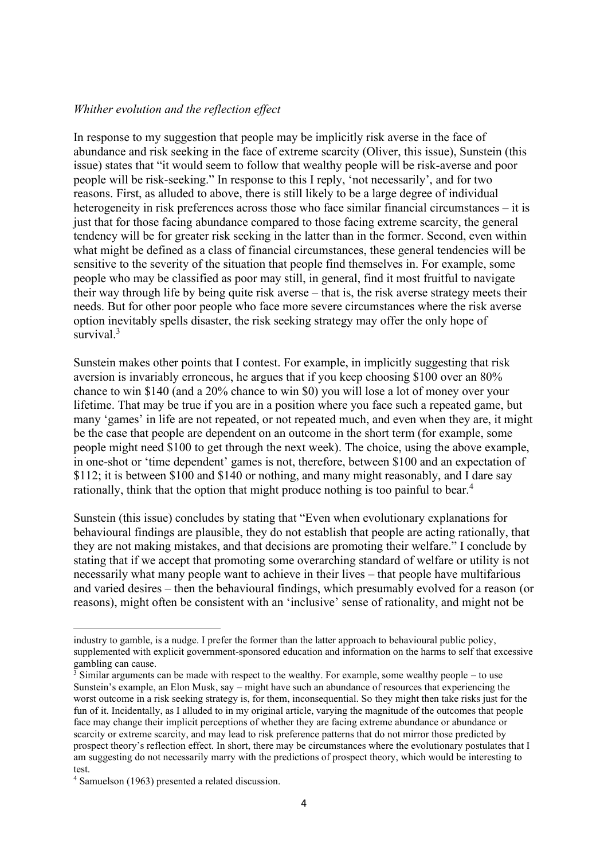#### *Whither evolution and the reflection effect*

In response to my suggestion that people may be implicitly risk averse in the face of abundance and risk seeking in the face of extreme scarcity (Oliver, this issue), Sunstein (this issue) states that "it would seem to follow that wealthy people will be risk-averse and poor people will be risk-seeking." In response to this I reply, 'not necessarily', and for two reasons. First, as alluded to above, there is still likely to be a large degree of individual heterogeneity in risk preferences across those who face similar financial circumstances – it is just that for those facing abundance compared to those facing extreme scarcity, the general tendency will be for greater risk seeking in the latter than in the former. Second, even within what might be defined as a class of financial circumstances, these general tendencies will be sensitive to the severity of the situation that people find themselves in. For example, some people who may be classified as poor may still, in general, find it most fruitful to navigate their way through life by being quite risk averse – that is, the risk averse strategy meets their needs. But for other poor people who face more severe circumstances where the risk averse option inevitably spells disaster, the risk seeking strategy may offer the only hope of survival $3$ 

Sunstein makes other points that I contest. For example, in implicitly suggesting that risk aversion is invariably erroneous, he argues that if you keep choosing \$100 over an 80% chance to win \$140 (and a 20% chance to win \$0) you will lose a lot of money over your lifetime. That may be true if you are in a position where you face such a repeated game, but many 'games' in life are not repeated, or not repeated much, and even when they are, it might be the case that people are dependent on an outcome in the short term (for example, some people might need \$100 to get through the next week). The choice, using the above example, in one-shot or 'time dependent' games is not, therefore, between \$100 and an expectation of \$112; it is between \$100 and \$140 or nothing, and many might reasonably, and I dare say rationally, think that the option that might produce nothing is too painful to bear.<sup>4</sup>

Sunstein (this issue) concludes by stating that "Even when evolutionary explanations for behavioural findings are plausible, they do not establish that people are acting rationally, that they are not making mistakes, and that decisions are promoting their welfare." I conclude by stating that if we accept that promoting some overarching standard of welfare or utility is not necessarily what many people want to achieve in their lives – that people have multifarious and varied desires – then the behavioural findings, which presumably evolved for a reason (or reasons), might often be consistent with an 'inclusive' sense of rationality, and might not be

industry to gamble, is a nudge. I prefer the former than the latter approach to behavioural public policy, supplemented with explicit government-sponsored education and information on the harms to self that excessive gambling can cause.

 $\frac{3}{3}$  Similar arguments can be made with respect to the wealthy. For example, some wealthy people – to use Sunstein's example, an Elon Musk, say – might have such an abundance of resources that experiencing the worst outcome in a risk seeking strategy is, for them, inconsequential. So they might then take risks just for the fun of it. Incidentally, as I alluded to in my original article, varying the magnitude of the outcomes that people face may change their implicit perceptions of whether they are facing extreme abundance or abundance or scarcity or extreme scarcity, and may lead to risk preference patterns that do not mirror those predicted by prospect theory's reflection effect. In short, there may be circumstances where the evolutionary postulates that I am suggesting do not necessarily marry with the predictions of prospect theory, which would be interesting to test.

<sup>4</sup> Samuelson (1963) presented a related discussion.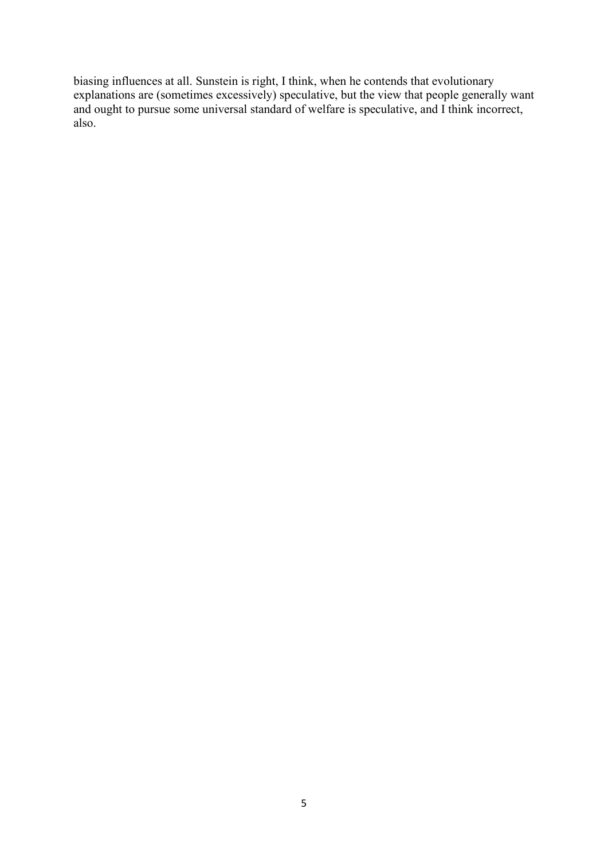biasing influences at all. Sunstein is right, I think, when he contends that evolutionary explanations are (sometimes excessively) speculative, but the view that people generally want and ought to pursue some universal standard of welfare is speculative, and I think incorrect, also.